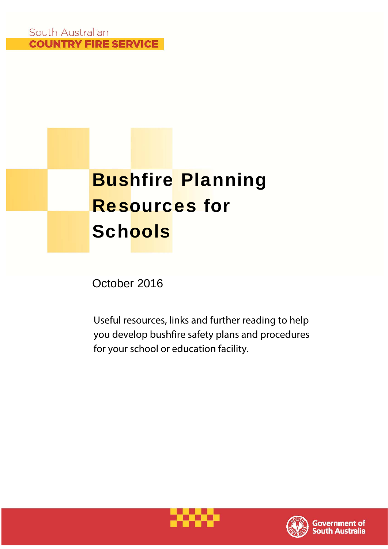# Bushfire Planning Resources for **Schools**

October 2016

Useful resources, links and further reading to help you develop bushfire safety plans and procedures for your school or education facility.



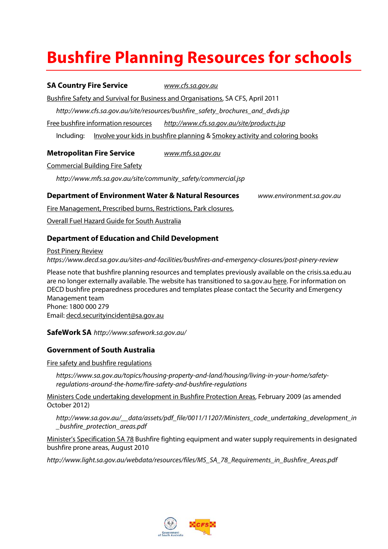# **Bushfire Planning Resources for schools**

#### **SA Country Fire Service www.cfs.sa.gov.au**

Bushfire Safety and Survival for Business and Organisations, SA CFS, April 2011

http://www.cfs.sa.gov.au/site/resources/bushfire\_safety\_brochures\_and\_dvds.jsp

Free bushfire information resources http://www.cfs.sa.gov.au/site/products.jsp

Including: Involve your kids in bushfire planning & Smokey activity and coloring books

#### **Metropolitan Fire Service** www.mfs.sa.gov.au

Commercial Building Fire Safety

http://www.mfs.sa.gov.au/site/community\_safety/commercial.jsp

#### **Department of Environment Water & Natural Resources** www.environment.sa.gov.au

Fire Management, Prescribed burns, Restrictions, Park closures,

Overall Fuel Hazard Guide for South Australia

#### **Department of Education and Child Development**

Post Pinery Review https://www.decd.sa.gov.au/sites-and-facilities/bushfires-and-emergency-closures/post-pinery-review

Please note that bushfire planning resources and templates previously available on the crisis.sa.edu.au are no longer externally available. The website has transitioned to sa.gov.au here. For information on DECD bushfire preparedness procedures and templates please contact the Security and Emergency Management team Phone: 1800 000 279 Email: decd.securityincident@sa.gov.au

**SafeWork SA** http://www.safework.sa.gov.au/

#### **Government of South Australia**

Fire safety and bushfire regulations

https://www.sa.gov.au/topics/housing-property-and-land/housing/living-in-your-home/safetyregulations-around-the-home/fire-safety-and-bushfire-regulations

Ministers Code undertaking development in Bushfire Protection Areas, February 2009 (as amended October 2012)

http://www.sa.gov.au/\_\_data/assets/pdf\_file/0011/11207/Ministers\_code\_undertaking\_development\_in \_bushfire\_protection\_areas.pdf

Minister's Specification SA 78 Bushfire fighting equipment and water supply requirements in designated bushfire prone areas, August 2010

http://www.light.sa.gov.au/webdata/resources/files/MS\_SA\_78\_Requirements\_in\_Bushfire\_Areas.pdf

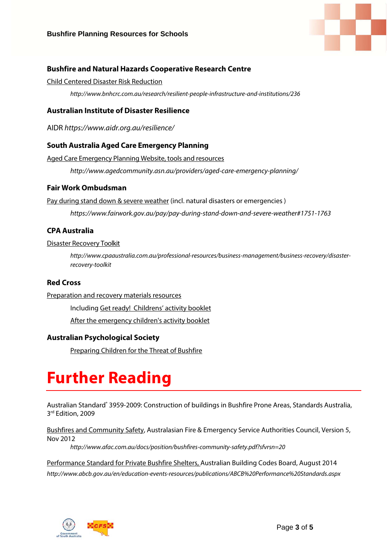

#### **Bushfire and Natural Hazards Cooperative Research Centre**

#### Child Centered Disaster Risk Reduction

http://www.bnhcrc.com.au/research/resilient-people-infrastructure-and-institutions/236

#### **Australian Institute of Disaster Resilience**

AIDR https://www.aidr.org.au/resilience/

#### **South Australia Aged Care Emergency Planning**

Aged Care Emergency Planning Website, tools and resources

http://www.agedcommunity.asn.au/providers/aged-care-emergency-planning/

#### **Fair Work Ombudsman**

Pay during stand down & severe weather (incl. natural disasters or emergencies )

https://www.fairwork.gov.au/pay/pay-during-stand-down-and-severe-weather#1751-1763

#### **CPA Australia**

#### Disaster Recovery Toolkit

http://www.cpaaustralia.com.au/professional-resources/business-management/business-recovery/disasterrecovery-toolkit

#### **Red Cross**

#### Preparation and recovery materials resources

Including Get ready! Childrens' activity booklet

After the emergency children's activity booklet

#### **Australian Psychological Society**

Preparing Children for the Threat of Bushfire

# **Further Reading**

Australian Standard<sup>®</sup> 3959-2009: Construction of buildings in Bushfire Prone Areas, Standards Australia, 3rd Edition, 2009

Bushfires and Community Safety, Australasian Fire & Emergency Service Authorities Council, Version 5, Nov 2012

http://www.afac.com.au/docs/position/bushfires-community-safety.pdf?sfvrsn=20

Performance Standard for Private Bushfire Shelters, Australian Building Codes Board, August 2014 http://www.abcb.gov.au/en/education-events-resources/publications/ABCB%20Performance%20Standards.aspx

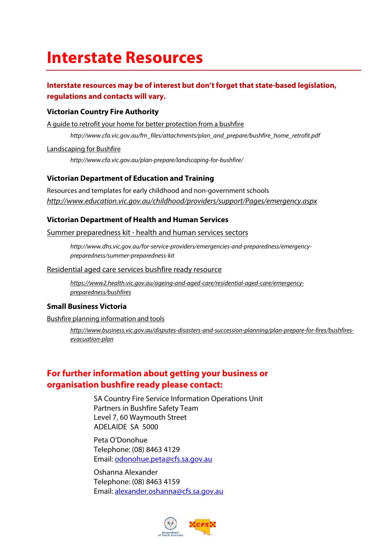## **Interstate Resources**

#### **Interstate resources may be of interest but don't forget that state-based legislation, regulations and contacts will vary.**

#### **Victorian Country Fire Authority**

A guide to retrofit your home for better protection from a bushfire

http://www.cfa.vic.gov.au/fm\_files/attachments/plan\_and\_prepare/bushfire\_home\_retrofit.pdf

Landscaping for Bushfire

http://www.cfa.vic.gov.au/plan-prepare/landscaping-for-bushfire/

#### **Victorian Department of Education and Training**

Resources and templates for early childhood and non-government schools http://www.education.vic.gov.au/childhood/providers/support/Pages/emergency.aspx

#### **Victorian Department of Health and Human Services**

Summer preparedness kit - health and human services sectors

http://www.dhs.vic.gov.au/for-service-providers/emergencies-and-preparedness/emergencypreparedness/summer-preparedness-kit

#### Residential aged care services bushfire ready resource

https://www2.health.vic.gov.au/ageing-and-aged-care/residential-aged-care/emergencypreparedness/bushfires

#### **Small Business Victoria**

Bushfire planning information and tools

http://www.business.vic.gov.au/disputes-disasters-and-succession-planning/plan-prepare-for-fires/bushfiresevacuation-plan

#### **For further information about getting your business or organisation bushfire ready please contact:**

SA Country Fire Service Information Operations Unit Partners in Bushfire Safety Team Level 7, 60 Waymouth Street ADELAIDE SA 5000

Peta O'Donohue Telephone: (08) 8463 4129 Email: odonohue.peta@cfs.sa.gov.au

Oshanna Alexander Telephone: (08) 8463 4159 Email: alexander.oshanna@cfs.sa.gov.au